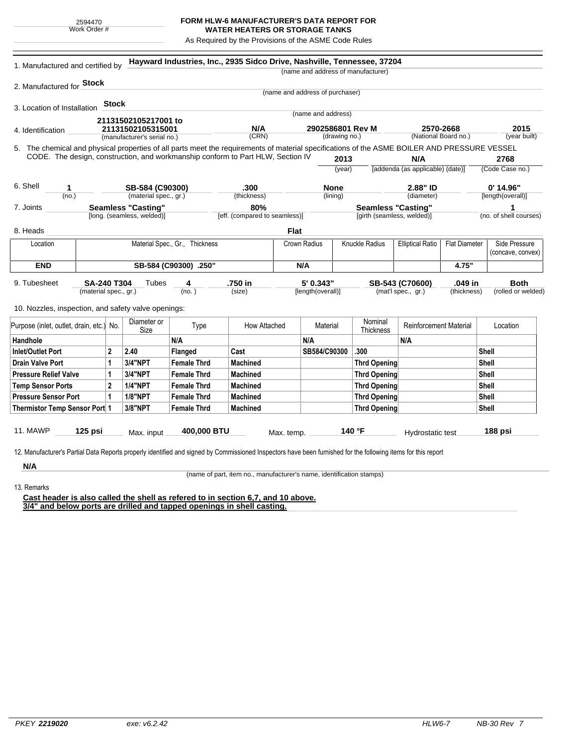## **FORM HLW-6 MANUFACTURER'S DATA REPORT FOR WATER HEATERS OR STORAGE TANKS**

As Required by the Provisions of the ASME Code Rules

| 1. Manufactured and certified by                                                                                                                              |                                        |                      |                      | Hayward Industries, Inc., 2935 Sidco Drive, Nashville, Tennessee, 37204 |                                 |                            |                                    |                               |                                       |                        |
|---------------------------------------------------------------------------------------------------------------------------------------------------------------|----------------------------------------|----------------------|----------------------|-------------------------------------------------------------------------|---------------------------------|----------------------------|------------------------------------|-------------------------------|---------------------------------------|------------------------|
|                                                                                                                                                               |                                        |                      |                      |                                                                         |                                 |                            | (name and address of manufacturer) |                               |                                       |                        |
| 2. Manufactured for <b>Stock</b>                                                                                                                              |                                        |                      |                      |                                                                         |                                 |                            |                                    |                               |                                       |                        |
|                                                                                                                                                               |                                        |                      |                      |                                                                         | (name and address of purchaser) |                            |                                    |                               |                                       |                        |
| 3. Location of Installation                                                                                                                                   |                                        | Stock                |                      |                                                                         |                                 |                            |                                    |                               |                                       |                        |
|                                                                                                                                                               |                                        | 21131502105217001 to |                      |                                                                         |                                 | (name and address)         |                                    |                               |                                       |                        |
| 4. Identification                                                                                                                                             |                                        |                      | 21131502105315001    |                                                                         | 2902586801 Rev M                |                            |                                    |                               | 2570-2668                             | 2015                   |
| (manufacturer's serial no.)                                                                                                                                   |                                        |                      |                      | (CRN)                                                                   | (drawing no.)                   |                            |                                    | (National Board no.)          |                                       | (year built)           |
| 5. The chemical and physical properties of all parts meet the requirements of material specifications of the ASME BOILER AND PRESSURE VESSEL                  |                                        |                      |                      |                                                                         |                                 |                            |                                    |                               |                                       |                        |
| CODE. The design, construction, and workmanship conform to Part HLW, Section IV                                                                               |                                        |                      |                      |                                                                         |                                 | 2013                       |                                    | N/A                           |                                       | 2768                   |
|                                                                                                                                                               |                                        |                      |                      |                                                                         | (year)                          |                            | [addenda (as applicable) (date)]   |                               | (Code Case no.)                       |                        |
| 6. Shell<br>1                                                                                                                                                 |                                        |                      | SB-584 (C90300)      |                                                                         | <b>None</b>                     |                            | 2.88" ID                           |                               | $0'$ 14.96"                           |                        |
| (no.)                                                                                                                                                         | (material spec., gr.)                  |                      |                      | .300<br>(thickness)                                                     | (lining)                        |                            |                                    | (diameter)                    |                                       | [length(overall)]      |
| 7. Joints                                                                                                                                                     | <b>Seamless "Casting"</b>              |                      |                      | 80%                                                                     |                                 |                            | <b>Seamless "Casting"</b>          |                               |                                       | 1                      |
|                                                                                                                                                               | [long. (seamless, welded)]             |                      |                      |                                                                         | [eff. (compared to seamless)]   | [girth (seamless, welded)] |                                    |                               |                                       | (no. of shell courses) |
| 8. Heads                                                                                                                                                      |                                        |                      |                      |                                                                         | <b>Flat</b>                     |                            |                                    |                               |                                       |                        |
| Material Spec., Gr., Thickness<br>Location                                                                                                                    |                                        |                      |                      | Crown Radius                                                            |                                 |                            | <b>Knuckle Radius</b>              | <b>Elliptical Ratio</b>       | <b>Flat Diameter</b><br>Side Pressure |                        |
|                                                                                                                                                               |                                        |                      |                      |                                                                         |                                 |                            |                                    |                               |                                       | (concave, convex)      |
| <b>END</b>                                                                                                                                                    | SB-584 (C90300) .250"                  |                      |                      |                                                                         | N/A                             |                            |                                    |                               | 4.75"                                 |                        |
| 9. Tubesheet<br><b>SA-240 T304</b><br>Tubes<br>4                                                                                                              |                                        |                      | .750 in<br>5' 0.343" |                                                                         |                                 | SB-543 (C70600)            |                                    | .049 in                       | <b>Both</b>                           |                        |
|                                                                                                                                                               | (material spec., gr.)                  |                      | (no.)                | (size)                                                                  |                                 | [length(overall)]          |                                    | (mat'l spec., gr.)            | (thickness)                           | (rolled or welded)     |
|                                                                                                                                                               |                                        |                      |                      |                                                                         |                                 |                            |                                    |                               |                                       |                        |
| 10. Nozzles, inspection, and safety valve openings:                                                                                                           |                                        |                      |                      |                                                                         |                                 |                            |                                    |                               |                                       |                        |
| Purpose (inlet, outlet, drain, etc.) No.                                                                                                                      |                                        | Diameter or<br>Size  | Type                 | How Attached                                                            |                                 | Material                   | Nominal<br><b>Thickness</b>        | <b>Reinforcement Material</b> |                                       | Location               |
| Handhole                                                                                                                                                      |                                        |                      | N/A                  |                                                                         | N/A                             |                            |                                    | N/A                           |                                       |                        |
| Inlet/Outlet Port                                                                                                                                             | $\overline{2}$                         | 2.40                 | Flanged              | Cast                                                                    |                                 | SB584/C90300               | .300                               |                               |                                       | Shell                  |
| <b>Drain Valve Port</b>                                                                                                                                       | 3/4"NPT<br><b>Female Thrd</b><br>1     |                      |                      | <b>Machined</b>                                                         |                                 | <b>Thrd Opening</b>        |                                    |                               | Shell                                 |                        |
| <b>Pressure Relief Valve</b>                                                                                                                                  | 1                                      | 3/4"NPT              | <b>Female Thrd</b>   | <b>Machined</b>                                                         |                                 |                            | <b>Thrd Opening</b>                |                               |                                       | Shell                  |
| <b>Temp Sensor Ports</b>                                                                                                                                      | $\mathbf{2}$                           | <b>1/4"NPT</b>       | <b>Female Thrd</b>   | <b>Machined</b>                                                         |                                 |                            | <b>Thrd Opening</b>                |                               |                                       | <b>Shell</b>           |
| <b>Pressure Sensor Port</b>                                                                                                                                   | $\mathbf{1}$                           | <b>1/8"NPT</b>       | <b>Female Thrd</b>   | <b>Machined</b>                                                         |                                 |                            | <b>Thrd Opening</b>                |                               |                                       | Shell                  |
| Thermistor Temp Sensor Port 1                                                                                                                                 |                                        | 3/8"NPT              | <b>Female Thrd</b>   | <b>Machined</b>                                                         |                                 |                            | <b>Thrd Opening</b>                |                               |                                       | <b>Shell</b>           |
|                                                                                                                                                               |                                        |                      |                      |                                                                         |                                 |                            |                                    |                               |                                       |                        |
| <b>11. MAWP</b>                                                                                                                                               | $125$ psi<br>400,000 BTU<br>Max. input |                      |                      | Max. temp.                                                              |                                 | 140 °F<br>Hydrostatic test |                                    |                               | 188 psi                               |                        |
|                                                                                                                                                               |                                        |                      |                      |                                                                         |                                 |                            |                                    |                               |                                       |                        |
| 12. Manufacturer's Partial Data Reports properly identified and signed by Commissioned Inspectors have been furnished for the following items for this report |                                        |                      |                      |                                                                         |                                 |                            |                                    |                               |                                       |                        |
| N/A                                                                                                                                                           |                                        |                      |                      |                                                                         |                                 |                            |                                    |                               |                                       |                        |

13. Remarks

(name of part, item no., manufacturer's name, identification stamps)

**Cast header is also called the shell as refered to in section 6,7, and 10 above. 3/4" and below ports are drilled and tapped openings in shell casting.**